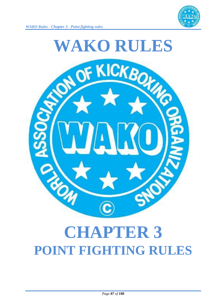



# **CHAPTER 3 POINT FIGHTING RULES**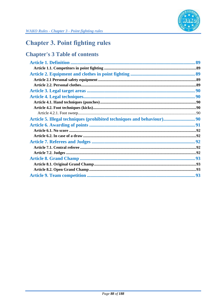

# **Chapter 3. Point fighting rules**

## **Chapter's 3 Table of contents**

| Article 5. Illegal techniques (prohibited techniques and behaviour) 90 |  |
|------------------------------------------------------------------------|--|
|                                                                        |  |
|                                                                        |  |
|                                                                        |  |
|                                                                        |  |
|                                                                        |  |
|                                                                        |  |
|                                                                        |  |
|                                                                        |  |
|                                                                        |  |
|                                                                        |  |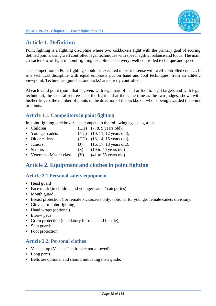

## **Article 1. Definition**

Point fighting is a fighting discipline where two kickboxers fight with the primary goal of scoring defined points, using well controlled legal techniques with speed, agility, balance and focus. The main characteristic of fight in point fighting discipline is delivery, well controlled technique and speed.

The competition in Point fighting should be executed in its true sense with well-controlled contact. It is a technical discipline with equal emphasis put on hand and foot techniques, from an athletic viewpoint. Techniques (punches and kicks) are strictly controlled.

At each valid point (point that is given, with legal part of hand or foot to legal targets and with legal technique), the Central referee halts the fight and at the same time as the two judges, shows with his/her fingers the number of points in the direction of the kickboxer who is being awarded the point or points.

## **Article 1.1. Competitors in point fighting**

In point fighting, kickboxers can compete in the following age categories:

- Children  $(CH)$   $(7, 8, 9$  years old),
- Younger cadets (YC) (10, 11, 12 years old),
- Older cadets (OC) (13, 14, 15 years old),
- Juniors (J)  $(16, 17, 18 \text{ years old}),$
- Seniors (S)  $(19 \text{ to } 40 \text{ years old})$
- Veterans Master class (V) (41 to 55 years old)

## **Article 2. Equipment and clothes in point fighting**

## **Article 2.1 Personal safety equipment**

- Head guard
- Face mask (in children and younger cadets' categories)
- Mouth guard,
- Breast protection (for female kickboxers only, optional for younger female cadets division),
- Gloves for point fighting,
- Hand wraps (optional)
- Elbow pads
- Groin protection (mandatory for male and female),
- Shin guards
- Foot protection

#### **Article 2.2. Personal clothes**

- V-neck top (V-neck T-shirts are not allowed)
- Long pants
- Belts are optional and should indicating their grade.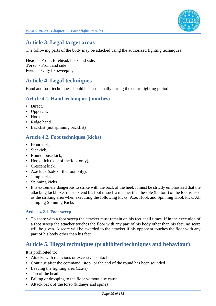

## **Article 3. Legal target areas**

The following parts of the body may be attacked using the authorized fighting techniques:

**Head -** Front, forehead, back and side.

- **Torso -** Front and side
- **Feet -** Only for sweeping

## **Article 4. Legal techniques**

Hand and foot **t**echniques should be used equally during the entire fighting period.

## **Article 4.1. Hand techniques (punches)**

- Direct,
- Uppercut,
- Hook,
- Ridge hand
- Backfist (not spinning backfist)

#### **Article 4.2. Foot techniques (kicks)**

- Front kick,
- Sidekick,
- Roundhouse kick,
- Hook kick (sole of the foot only),
- Crescent kick.
- Axe kick (sole of the foot only),
- Jump kicks,
- Spinning kicks
- It is extremely dangerous to strike with the back of the heel; it must be strictly emphasized that the attacking kickboxer must extend his foot in such a manner that the sole (bottom) of the foot is used as the striking area when executing the following kicks: Axe, Hook and Spinning Hook kick, All Jumping Spinning Kicks

#### **Article 4.2.1. Foot sweep**

• To score with a foot sweep the attacker must remain on his feet at all times. If in the execution of a foot sweep the attacker touches the floor with any part of his body other than his feet, no score will be given. A score will be awarded to the attacker if his opponent touches the floor with any part of his body other than his feet

## **Article 5. Illegal techniques (prohibited techniques and behaviour)**

It is prohibited to:

- Attacks with malicious or excessive contact
- Continue after the command "stop" or the end of the round has been sounded
- Leaving the fighting area (Exits)
- Top of the head
- Falling or dropping to the floor without due cause
- Attack back of the torso (kidneys and spine)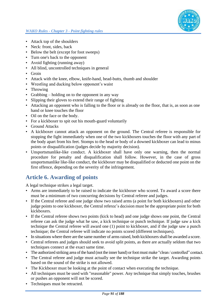

- Attack top of the shoulders
- Neck: front, sides, back
- Below the belt (except for foot sweeps)
- Turn one's back to the opponent
- Avoid fighting (running away)
- All blind, uncontrolled techniques in general
- Groin
- Attack with the knee, elbow, knife-hand, head-butts, thumb and shoulder
- Wrestling and ducking below opponent's waist
- Throwing
- Grabbing holding on to the opponent in any way
- Slipping their gloves to extend their range of fighting
- Attacking an opponent who is falling to the floor or is already on the floor, that is, as soon as one hand or knee touches the floor
- Oil on the face or the body.
- For a kickboxer to spit out his mouth-guard voluntarily
- Ground Attacks
- A kickboxer cannot attack an opponent on the ground. The Central referee is responsible for stopping the fight immediately when one of the two kickboxers touches the floor with any part of the body apart from his feet. Stomps to the head or body of a downed kickboxer can lead to minus points or disqualification (judges decide by majority decision).
- Unsportsmanlike-like conduct. A kickboxer shall have only one warning, then the normal procedure for penalty and disqualification shall follow. However, in the case of gross unsportsmanlike like-like conduct, the kickboxer may be disqualified or deducted one point on the first offence, depending on the severity of the infringement.

## **Article 6. Awarding of points**

A legal technique strikes a legal target.

- Arms are immediately to be raised to indicate the kickboxer who scored. To award a score there must be a minimum of two concurring decisions by Central referee and judges.
- If the Central referee and one judge show two raised arms (a point for both kickboxers) and other judge points to one kickboxer, the Central referee's decision must be the appropriate point for both kickboxers.
- If the Central referee shows two points (kick to head) and one judge shows one point, the Central referee can ask the judge what he saw, a kick technique or punch technique. If judge saw a kick technique the Central referee will award one (1) point to kickboxer, and if the judge saw a punch technique; the Central referee will indicate no points scored (different techniques).
- In situations where there are the same number of arms raised, both kickboxers shall be awarded a score.
- Central referees and judges should seek to avoid split points, as there are actually seldom that two techniques connect at the exact same time.
- The authorized striking area of the hand (not the inner hand) or foot must make "clean / controlled" contact.
- The Central referee and judge must actually see the technique strike the target. Awarding points based on the sound of the strike is not allowed.
- The Kickboxer must be looking at the point of contact when executing the technique.
- All techniques must be used with "reasonable" power. Any technique that simply touches, brushes or pushes an opponent will not be scored.
- Techniques must be retracted.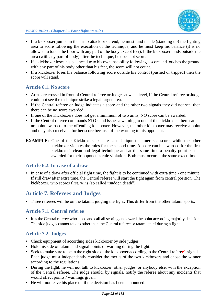

- If a kickboxer jumps in the air to attack or defend, he must land inside (standing up) the fighting area to score following the execution of the technique, and he must keep his balance (it is no allowed to touch the floor with any part of the body except feet). If the kickboxer lands outside the area (with any part of body) after the technique, he does not score.
- If a kickboxer loses his balance due to his own instability following a score and touches the ground with any part of his body other than his feet, the score will not count.
- If a kickboxer loses his balance following score outside his control (pushed or tripped) then the score will stand.

## **Article 6.1. No score**

- Arms are crossed in front of Central referee or Judges at waist level, if the Central referee or Judge could not see the technique strike a legal target area.
- If the Central referee or Judge indicates a score and the other two signals they did not see, then there can be no score awarded.
- If one of the Kickboxers does not get a minimum of two arms, NO score can be awarded.
- If the Central referee commands STOP and issues a warning to one of the kickboxers there can be no point awarded to the offending kickboxer. However, the other kickboxer may receive a point and may also receive a further score because of the warning to his opponent.
- **EXAMPLE:** One of the Kickboxers executes a technique that merits a score, while the other kickboxer violates the rules for the second time. A score can be awarded for the first kickboxer's clean and legal technique and at the same time a penalty point can be awarded for their opponent's rule violation. Both must occur at the same exact time.

#### **Article 6.2. In case of a draw**

• In case of a draw after official fight time, the fight is to be continued with extra time - one minute. If still draw after extra time, the Central referee will start the fight again from central position. The kickboxer, who scores first, wins (so called "sudden death").

## **Article 7. Referees and Judges**

• Three referees will be on the tatami, judging the fight. This differ from the other tatami sports.

## **Article 7.1. Central referee**

• It is the Central referee who stops and call all scoring and award the point according majority decision. The side judges cannot talk to other than the Central referee or tatami chief during a fight.

## **Article 7.2. Judges**

- Check equipment of according sides kickboxer by side judges
- Hold his side of tatami and signal points or warning during the fight.
- Seek to make sure to be in the right side of the kickboxer according to the Central referee's signals. Each judge must independently consider the merits of the two kickboxers and chose the winner according to the regulations.
- During the fight, he will not talk to kickboxer, other judges, or anybody else, with the exception of the Central referee. The judge should, by signals, notify the referee about any incidents that would affect points / warnings given.
- He will not leave his place until the decision has been announced.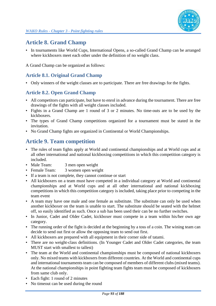

## **Article 8. Grand Champ**

• In tournaments like World Cups, International Opens, a so-called Grand Champ can be arranged where kickboxers meet each other under the definition of no weight class.

A Grand Champ can be organized as follows:

#### **Article 8.1. Original Grand Champ**

• Only winners of the weight classes are to participate. There are free drawings for the fights.

## **Article 8.2. Open Grand Champ**

- All competitors can participate, but have to enrol in advance during the tournament. There are free drawings of the fights with all weight classes included.
- Fights in a Grand Champ are 1 round of 3 or 2 minutes. No time-outs are to be used by the kickboxers.
- The types of Grand Champ competitions organized for a tournament must be stated in the invitation.
- No Grand Champ fights are organized in Continental or World Championships.

## **Article 9. Team competition**

- The rules of team fights apply at World and continental championships and at World cups and at all other international and national kickboxing competitions in which this competition category is included.
- Male Team: 3 men open weight
- Female Team: 3 women open weight
- If a team is not complete, they cannot continue or start
- All kickboxers on a team must have competed in a individual category at World and continental championships and at World cups and at all other international and national kickboxing competitions in which this competition category is included, taking place prior to competing in the team event
- A team may have one male and one female as substitute. The substitute can only be used when another kickboxer on the team is unable to start. The substitute should be seated with the helmet off, so easily identified as such. Once a sub has been used their can be no further switches.
- In Junior, Cadet and Older Cadet, kickboxer must compete in a team within his/her own age category.
- The running order of the fight is decided at the beginning by a toss of a coin. The wining team can decide to send out first or allow the opposing team to send out first.
- All kickboxers are prepared with all equipment in their corner side of tatami.
- There are no weight-class definitions. (In Younger Cadet and Older Cadet categories, the team MUST start with smallest to tallest)
- The team at the World and continental championships must be composed of national kickboxers only. No mixed teams with kickboxers from different countries. At the World and continental cups and international tournaments team can be composed of members of different clubs (mixed teams). At the national championships in point fighting team fights team must be composed of kickboxers from same club only.
- Each fight: 1 round of 2 minutes
- No timeout can be used during the round